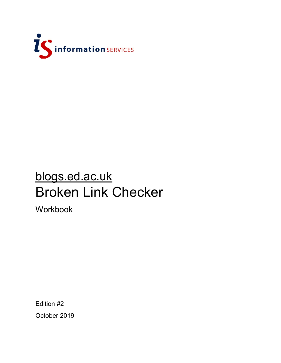

# blogs.ed.ac.uk Broken Link Checker

Workbook

Edition #2 October 2019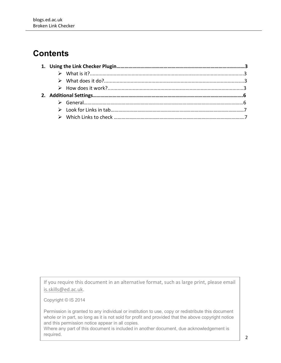## **Contents**

If you require this document in an alternative format, such as large print, please email [is.skills@ed.ac.uk.](mailto:is.skills@ed.ac.uk)

Copyright © IS 2014

Permission is granted to any individual or institution to use, copy or redistribute this document whole or in part, so long as it is not sold for profit and provided that the above copyright notice and this permission notice appear in all copies.

Where any part of this document is included in another document, due acknowledgement is required.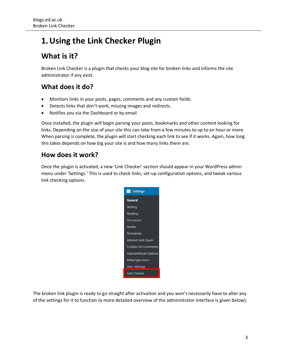## **1.Using the Link Checker Plugin**

## **What is it?**

Broken Link Checker is a plugin that checks your blog site for broken links and informs the site administrator if any exist.

### **What does it do?**

- Monitors links in your posts, pages, comments and any custom fields.
- Detects links that don't work, missing images and redirects.
- Notifies you via the Dashboard or by email.

Once installed, the plugin will begin parsing your posts, bookmarks and other content looking for links. Depending on the size of your site this can take from a few minutes to up to an hour or more. When parsing is complete, the plugin will start checking each link to see if it works. Again, how long this takes depends on how big your site is and how many links there are.

#### **How does it work?**

Once the plugin is activated, a new 'Link Checker' section should appear in your WordPress admin menu under 'Settings.' This is used to check links, set-up configuration options, and tweak various link checking options.



The broken link plugin is ready to go straight after activation and you won't necessarily have to alter any of the settings for it to function (a more detailed overview of the administrator interface is given below).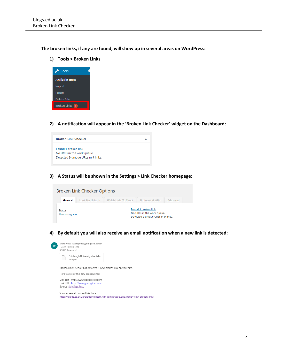**The broken links, if any are found, will show up in several areas on WordPress:** 

**1) Tools > Broken Links**



**2) A notification will appear in the 'Broken Link Checker' widget on the Dashboard:**



**3) A Status will be shown in the Settings > Link Checker homepage:** 



**4) By default you will also receive an email notification when a new link is detected:** 



Broken Link Checker has detected 1 new broken link on your site.

Here's a list of the new broken links:

Link text : http://www.gooogle.cooom Link URL : http://www.gooogle.cooom Source : My First Post

You can see all broken links here: https://blogs.ed.ac.uk/bloggingintern/wp-admin/tools.php?page=view-broken-links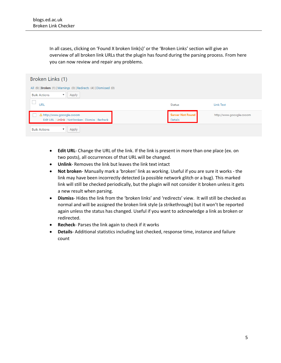In all cases, clicking on 'Found X broken link(s)' or the 'Broken Links' section will give an overview of all broken link URLs that the plugin has found during the parsing process. From here you can now review and repair any problems.

| Broken Links (1)                                                               |                                    |                          |  |  |  |
|--------------------------------------------------------------------------------|------------------------------------|--------------------------|--|--|--|
| All (9)   Broken (1)   Warnings (0)   Redirects (4)   Dismissed (0)            |                                    |                          |  |  |  |
| <b>Bulk Actions</b><br>Apply<br>▼                                              |                                    |                          |  |  |  |
| URL                                                                            | <b>Status</b>                      | <b>Link Text</b>         |  |  |  |
| http://www.gooogle.cooom<br>Edit URL   Unlink   Not broken   Dismiss   Recheck | <b>Server Not Found</b><br>Details | http://www.gooogle.cooom |  |  |  |
| <b>Bulk Actions</b><br>Apply<br>▼                                              |                                    |                          |  |  |  |

- **Edit URL** Change the URL of the link. If the link is present in more than one place (ex. on two posts), all occurrences of that URL will be changed.
- **Unlink** Removes the link but leaves the link text intact
- **Not broken** Manually mark a 'broken' link as working. Useful if you are sure it works the link may have been incorrectly detected (a possible network glitch or a bug). This marked link will still be checked periodically, but the plugin will not consider it broken unless it gets a new result when parsing.
- **Dismiss** Hides the link from the 'broken links' and 'redirects' view. It will still be checked as normal and will be assigned the broken link style (a strikethrough) but it won't be reported again unless the status has changed. Useful if you want to acknowledge a link as broken or redirected.
- **Recheck** Parses the link again to check if it works
- **Details** Additional statistics including last checked, response time, instance and failure count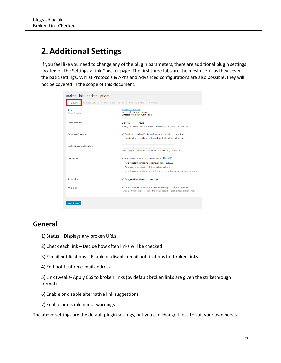## **2.Additional Settings**

If you feel like you need to change any of the plugin parameters, there are additional plugin settings located on the Settings > Link Checker page. The first three tabs are the most useful as they cover the basic settings. Whilst Protocols & API's and Advanced configurations are also possible, they will not be covered in the scope of this document.

| <b>Broken Link Checker Options</b>                                 |                                                                                                                                                                                                                                                     |
|--------------------------------------------------------------------|-----------------------------------------------------------------------------------------------------------------------------------------------------------------------------------------------------------------------------------------------------|
| <b>Look For Links In</b><br><b>Which Links To Check</b><br>General | Protocols & APIs<br>Advanced                                                                                                                                                                                                                        |
| <b>Status</b><br>Show debug info                                   | <b>Found 1 broken link</b><br>No URLs in the work queue.<br>Detected 9 unique URLs in 9 links.                                                                                                                                                      |
| Check each link                                                    | Every 72<br>hours<br>Existing links will be checked this often. New links will usually be checked ASAP.                                                                                                                                             |
| <b>E-mail notifications</b>                                        | Send me e-mail notifications about newly detected broken links<br>Send authors e-mail notifications about broken links in their posts                                                                                                               |
| Notification e-mail address                                        | Leave empty to use the e-mail address specified in Settings $\rightarrow$ General.                                                                                                                                                                  |
| <b>Link tweaks</b>                                                 | √ Apply custom formatting to broken links   Edit CSS<br>Apply custom formatting to removed links   Edit CSS<br>Stop search engines from following broken links<br>These settings only apply to the content of posts, not comments or custom fields. |
| <b>Suggestions</b>                                                 | √ Suggest alternatives to broken links                                                                                                                                                                                                              |
| <b>Warnings</b>                                                    | Show uncertain or minor problems as "warnings" instead of "broken"<br>Turning off this option will make the plugin report all problems as broken links.                                                                                             |
| <b>Save Changes</b>                                                |                                                                                                                                                                                                                                                     |

#### **General**

- 1) Status Displays any broken URLs
- 2) Check each link Decide how often links will be checked
- 3) E-mail notifications Enable or disable email notifications for broken links
- 4) Edit notification e-mail address

5) Link tweaks- Apply CSS to broken links (by default broken links are given the strikethrough format)

- 6) Enable or disable alternative link suggestions
- 7) Enable or disable minor warnings

The above settings are the default plugin settings, but you can change these to suit your own needs.